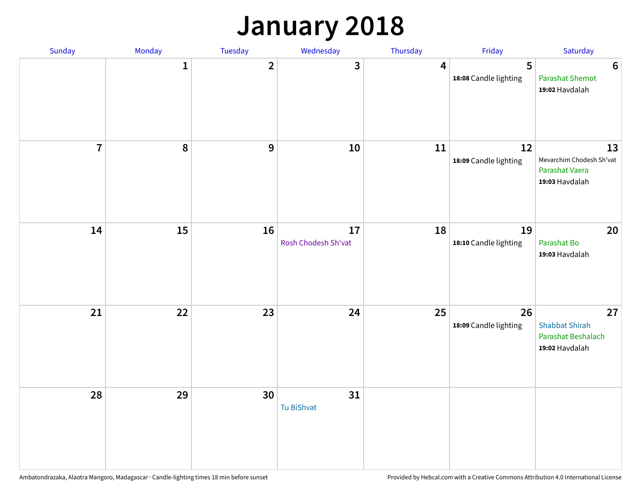# **January 2018**

| Sunday         | Monday | Tuesday          | Wednesday                 | Thursday       | Friday                      | Saturday                                                            |
|----------------|--------|------------------|---------------------------|----------------|-----------------------------|---------------------------------------------------------------------|
|                | 1      | $\overline{2}$   | 3                         | $\overline{4}$ | 5<br>18:08 Candle lighting  | $\bf 6$<br><b>Parashat Shemot</b><br>19:02 Havdalah                 |
| $\overline{7}$ | 8      | $\boldsymbol{9}$ | 10                        | 11             | 12<br>18:09 Candle lighting | 13<br>Mevarchim Chodesh Sh'vat<br>Parashat Vaera<br>19:03 Havdalah  |
| 14             | 15     | 16               | 17<br>Rosh Chodesh Sh'vat | 18             | 19<br>18:10 Candle lighting | 20<br>Parashat Bo<br>19:03 Havdalah                                 |
| 21             | 22     | 23               | 24                        | 25             | 26<br>18:09 Candle lighting | 27<br><b>Shabbat Shirah</b><br>Parashat Beshalach<br>19:02 Havdalah |
| 28             | 29     | 30               | 31<br><b>Tu BiShvat</b>   |                |                             |                                                                     |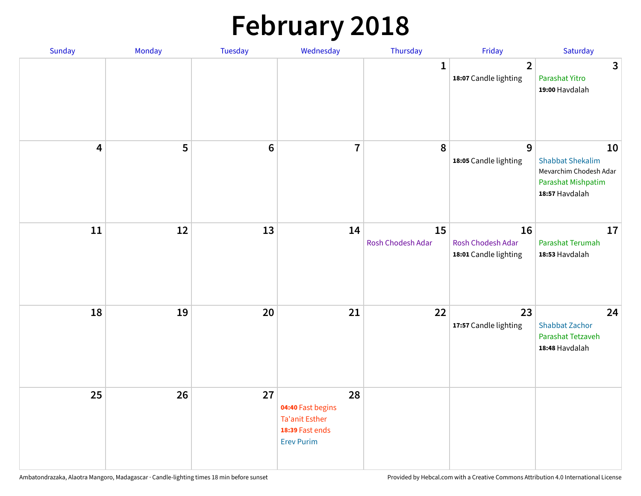# **February 2018**

| Sunday                  | Monday | Tuesday         | Wednesday                                                                                | Thursday                | Friday                                           | Saturday                                                                                        |
|-------------------------|--------|-----------------|------------------------------------------------------------------------------------------|-------------------------|--------------------------------------------------|-------------------------------------------------------------------------------------------------|
|                         |        |                 |                                                                                          | $\mathbf{1}$            | $\overline{2}$<br>18:07 Candle lighting          | $\mathbf{3}$<br>Parashat Yitro<br>19:00 Havdalah                                                |
| $\overline{\mathbf{4}}$ | 5      | $6\phantom{1}6$ | $\overline{7}$                                                                           | 8                       | $\overline{9}$<br>18:05 Candle lighting          | 10<br><b>Shabbat Shekalim</b><br>Mevarchim Chodesh Adar<br>Parashat Mishpatim<br>18:57 Havdalah |
| 11                      | 12     | 13              | 14                                                                                       | 15<br>Rosh Chodesh Adar | 16<br>Rosh Chodesh Adar<br>18:01 Candle lighting | 17<br>Parashat Terumah<br>18:53 Havdalah                                                        |
| 18                      | 19     | 20              | 21                                                                                       | 22                      | 23<br>17:57 Candle lighting                      | 24<br><b>Shabbat Zachor</b><br>Parashat Tetzaveh<br>18:48 Havdalah                              |
| 25                      | 26     | 27              | 28<br>04:40 Fast begins<br><b>Ta'anit Esther</b><br>18:39 Fast ends<br><b>Erev Purim</b> |                         |                                                  |                                                                                                 |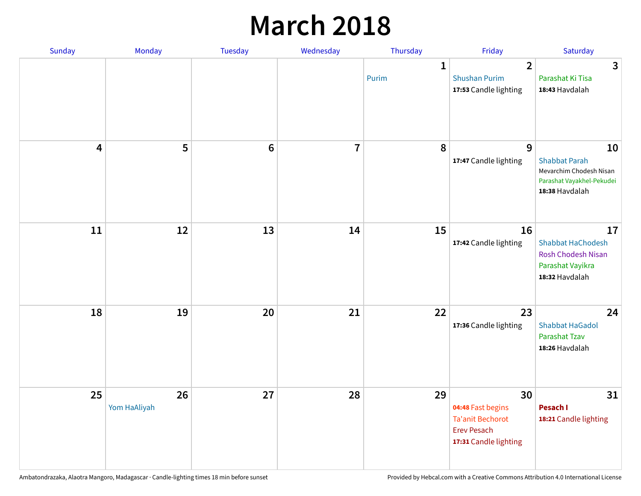## **March 2018**

| Sunday | Monday                       | <b>Tuesday</b> | Wednesday      | Thursday              | Friday                                                                                            | Saturday                                                                                             |
|--------|------------------------------|----------------|----------------|-----------------------|---------------------------------------------------------------------------------------------------|------------------------------------------------------------------------------------------------------|
|        |                              |                |                | $\mathbf{1}$<br>Purim | $\overline{2}$<br><b>Shushan Purim</b><br>17:53 Candle lighting                                   | $\mathbf{3}$<br>Parashat Ki Tisa<br>18:43 Havdalah                                                   |
|        | 5<br>$\overline{\mathbf{4}}$ | $\bf 6$        | $\overline{7}$ | 8                     | 9<br>17:47 Candle lighting                                                                        | 10<br><b>Shabbat Parah</b><br>Mevarchim Chodesh Nisan<br>Parashat Vayakhel-Pekudei<br>18:38 Havdalah |
|        | 11<br>12                     | 13             | 14             | 15                    | 16<br>17:42 Candle lighting                                                                       | 17<br><b>Shabbat HaChodesh</b><br><b>Rosh Chodesh Nisan</b><br>Parashat Vayikra<br>18:32 Havdalah    |
|        | 18<br>19                     | 20             | 21             | 22                    | 23<br>17:36 Candle lighting                                                                       | 24<br><b>Shabbat HaGadol</b><br>Parashat Tzav<br>18:26 Havdalah                                      |
|        | 25<br>26<br>Yom HaAliyah     | 27             | 28             | 29                    | 30<br>04:48 Fast begins<br><b>Ta'anit Bechorot</b><br><b>Erev Pesach</b><br>17:31 Candle lighting | 31<br>Pesach I<br>18:21 Candle lighting                                                              |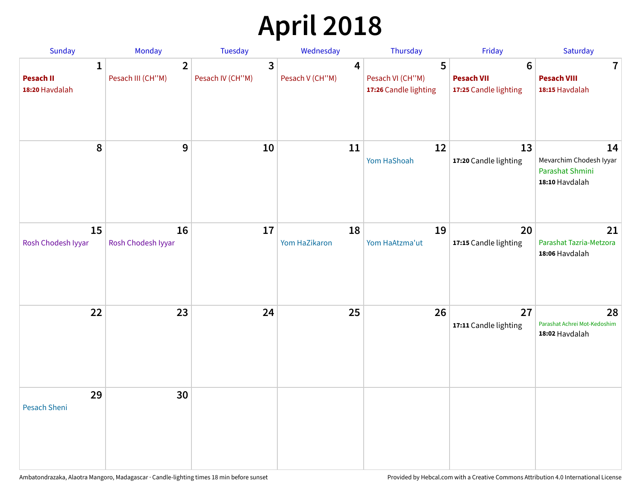# **April 2018**

| <b>Sunday</b>                                      | Monday                              | <b>Tuesday</b>                   | Wednesday            | Thursday                                       | Friday                                                        | Saturday                                                           |
|----------------------------------------------------|-------------------------------------|----------------------------------|----------------------|------------------------------------------------|---------------------------------------------------------------|--------------------------------------------------------------------|
| $\mathbf{1}$<br><b>Pesach II</b><br>18:20 Havdalah | $\overline{2}$<br>Pesach III (CH"M) | $\mathbf{3}$<br>Pesach IV (CH"M) | 4<br>Pesach V (CH"M) | 5<br>Pesach VI (CH"M)<br>17:26 Candle lighting | $6\phantom{1}6$<br><b>Pesach VII</b><br>17:25 Candle lighting | $\mathbf 7$<br><b>Pesach VIII</b><br>18:15 Havdalah                |
| 8                                                  | 9                                   | 10                               | 11                   | 12<br>Yom HaShoah                              | 13<br>17:20 Candle lighting                                   | 14<br>Mevarchim Chodesh Iyyar<br>Parashat Shmini<br>18:10 Havdalah |
| 15<br>Rosh Chodesh Iyyar                           | 16<br>Rosh Chodesh Iyyar            | 17                               | 18<br>Yom HaZikaron  | 19<br>Yom HaAtzma'ut                           | 20<br>17:15 Candle lighting                                   | 21<br>Parashat Tazria-Metzora<br>18:06 Havdalah                    |
| 22                                                 | 23                                  | 24                               | 25                   | 26                                             | 27<br>17:11 Candle lighting                                   | 28<br>Parashat Achrei Mot-Kedoshim<br>18:02 Havdalah               |
| 29<br><b>Pesach Sheni</b>                          | 30                                  |                                  |                      |                                                |                                                               |                                                                    |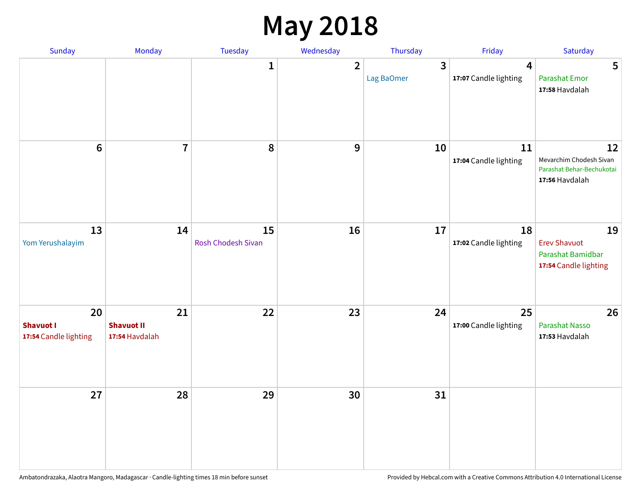# **May 2018**

| Sunday                                          | Monday                                    | Tuesday                  | Wednesday      | Thursday        | Friday                      | Saturday                                                                     |
|-------------------------------------------------|-------------------------------------------|--------------------------|----------------|-----------------|-----------------------------|------------------------------------------------------------------------------|
|                                                 |                                           | $\mathbf{1}$             | $\overline{2}$ | 3<br>Lag BaOmer | 4<br>17:07 Candle lighting  | 5<br><b>Parashat Emor</b><br>17:58 Havdalah                                  |
| $6\phantom{1}$                                  | $\overline{7}$                            | 8                        | 9              | 10              | 11<br>17:04 Candle lighting | 12<br>Mevarchim Chodesh Sivan<br>Parashat Behar-Bechukotai<br>17:56 Havdalah |
| 13<br>Yom Yerushalayim                          | 14                                        | 15<br>Rosh Chodesh Sivan | 16             | 17              | 18<br>17:02 Candle lighting | 19<br><b>Erev Shavuot</b><br>Parashat Bamidbar<br>17:54 Candle lighting      |
| 20<br><b>Shavuot I</b><br>17:54 Candle lighting | 21<br><b>Shavuot II</b><br>17:54 Havdalah | 22                       | 23             | 24              | 25<br>17:00 Candle lighting | 26<br><b>Parashat Nasso</b><br>17:53 Havdalah                                |
| 27                                              | 28                                        | 29                       | 30             | 31              |                             |                                                                              |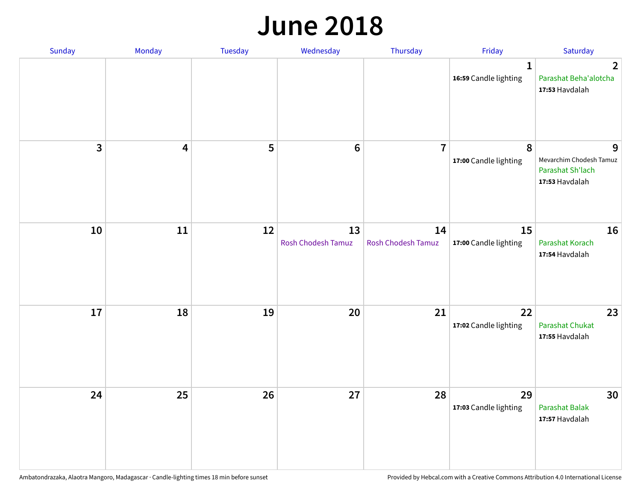#### **June 2018**

| Sunday                  | Monday | Tuesday | Wednesday                       | Thursday                        | Friday                                | Saturday                                                           |
|-------------------------|--------|---------|---------------------------------|---------------------------------|---------------------------------------|--------------------------------------------------------------------|
|                         |        |         |                                 |                                 | $\mathbf{1}$<br>16:59 Candle lighting | $\mathbf{2}$<br>Parashat Beha'alotcha<br>17:53 Havdalah            |
| $\overline{\mathbf{3}}$ | 4      | 5       | $\bf 6$                         | $\overline{7}$                  | 8<br>17:00 Candle lighting            | 9<br>Mevarchim Chodesh Tamuz<br>Parashat Sh'lach<br>17:53 Havdalah |
| 10                      | 11     | 12      | 13<br><b>Rosh Chodesh Tamuz</b> | 14<br><b>Rosh Chodesh Tamuz</b> | 15<br>17:00 Candle lighting           | 16<br>Parashat Korach<br>17:54 Havdalah                            |
| 17                      | 18     | 19      | 20                              | 21                              | 22<br>17:02 Candle lighting           | 23<br><b>Parashat Chukat</b><br>17:55 Havdalah                     |
| 24                      | 25     | 26      | 27                              | 28                              | 29<br>17:03 Candle lighting           | 30<br><b>Parashat Balak</b><br>17:57 Havdalah                      |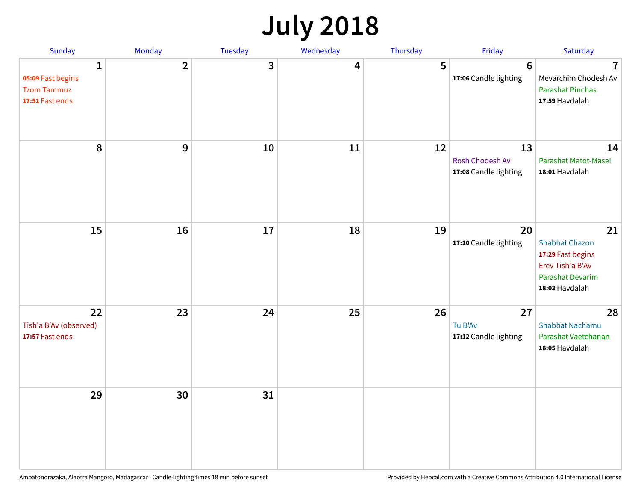# **July 2018**

| Sunday                                                          | Monday         | Tuesday      | Wednesday | Thursday | Friday                                         | Saturday                                                                                                   |
|-----------------------------------------------------------------|----------------|--------------|-----------|----------|------------------------------------------------|------------------------------------------------------------------------------------------------------------|
| 1<br>05:09 Fast begins<br><b>Tzom Tammuz</b><br>17:51 Fast ends | $\overline{2}$ | $\mathbf{3}$ | 4         | 5        | $6\phantom{1}6$<br>17:06 Candle lighting       | $\overline{7}$<br>Mevarchim Chodesh Av<br><b>Parashat Pinchas</b><br>17:59 Havdalah                        |
| 8                                                               | 9              | 10           | 11        | 12       | 13<br>Rosh Chodesh Av<br>17:08 Candle lighting | 14<br>Parashat Matot-Masei<br>18:01 Havdalah                                                               |
| 15                                                              | 16             | 17           | 18        | 19       | 20<br>17:10 Candle lighting                    | 21<br><b>Shabbat Chazon</b><br>17:29 Fast begins<br>Erev Tish'a B'Av<br>Parashat Devarim<br>18:03 Havdalah |
| 22<br>Tish'a B'Av (observed)<br>17:57 Fast ends                 | 23             | 24           | 25        | 26       | 27<br>Tu B'Av<br>17:12 Candle lighting         | 28<br><b>Shabbat Nachamu</b><br>Parashat Vaetchanan<br>18:05 Havdalah                                      |
| 29                                                              | 30             | 31           |           |          |                                                |                                                                                                            |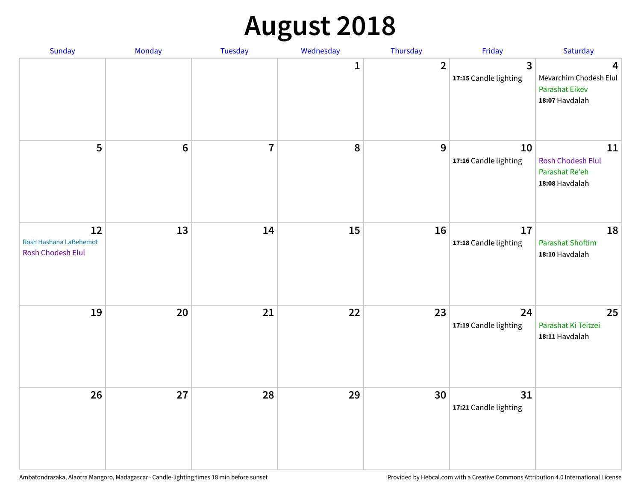# **August 2018**

| Sunday                                            | Monday          | Tuesday        | Wednesday        | Thursday       | Friday                                | Saturday                                                               |
|---------------------------------------------------|-----------------|----------------|------------------|----------------|---------------------------------------|------------------------------------------------------------------------|
|                                                   |                 |                | 1                | $\overline{2}$ | $\mathbf{3}$<br>17:15 Candle lighting | 4<br>Mevarchim Chodesh Elul<br><b>Parashat Eikev</b><br>18:07 Havdalah |
| 5                                                 | $6\phantom{1}6$ | $\overline{7}$ | $\boldsymbol{8}$ | 9              | 10<br>17:16 Candle lighting           | 11<br>Rosh Chodesh Elul<br>Parashat Re'eh<br>18:08 Havdalah            |
| 12<br>Rosh Hashana LaBehemot<br>Rosh Chodesh Elul | 13              | 14             | 15               | 16             | 17<br>17:18 Candle lighting           | 18<br><b>Parashat Shoftim</b><br>18:10 Havdalah                        |
| 19                                                | 20              | 21             | 22               | 23             | 24<br>17:19 Candle lighting           | 25<br>Parashat Ki Teitzei<br>18:11 Havdalah                            |
| 26                                                | 27              | 28             | 29               | 30             | 31<br>17:21 Candle lighting           |                                                                        |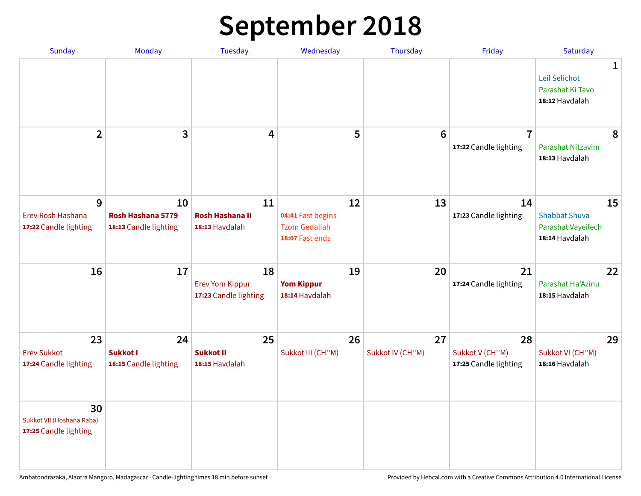# **September 2018**

| Sunday                                                   | Monday                                           | <b>Tuesday</b>                                        | Wednesday                                                          | Thursday               | Friday                                         | Saturday                                                           |
|----------------------------------------------------------|--------------------------------------------------|-------------------------------------------------------|--------------------------------------------------------------------|------------------------|------------------------------------------------|--------------------------------------------------------------------|
|                                                          |                                                  |                                                       |                                                                    |                        |                                                | 1<br>Leil Selichot<br>Parashat Ki Tavo<br>18:12 Havdalah           |
| $\overline{2}$                                           | 3                                                | 4                                                     | 5                                                                  | 6                      | $\overline{7}$<br>17:22 Candle lighting        | 8<br>Parashat Nitzavim<br>18:13 Havdalah                           |
| 9<br>Erev Rosh Hashana<br>17:22 Candle lighting          | 10<br>Rosh Hashana 5779<br>18:13 Candle lighting | 11<br><b>Rosh Hashana II</b><br>18:13 Havdalah        | 12<br>04:41 Fast begins<br><b>Tzom Gedaliah</b><br>18:07 Fast ends | 13                     | 14<br>17:23 Candle lighting                    | 15<br><b>Shabbat Shuva</b><br>Parashat Vayeilech<br>18:14 Havdalah |
| 16                                                       | 17                                               | 18<br><b>Erev Yom Kippur</b><br>17:23 Candle lighting | 19<br><b>Yom Kippur</b><br>18:14 Havdalah                          | 20                     | 21<br>17:24 Candle lighting                    | 22<br>Parashat Ha'Azinu<br>18:15 Havdalah                          |
| 23<br><b>Erev Sukkot</b><br>17:24 Candle lighting        | 24<br>Sukkot I<br>18:15 Candle lighting          | 25<br><b>Sukkot II</b><br>18:15 Havdalah              | 26<br>Sukkot III (CH"M)                                            | 27<br>Sukkot IV (CH"M) | 28<br>Sukkot V (CH"M)<br>17:25 Candle lighting | 29<br>Sukkot VI (CH"M)<br>18:16 Havdalah                           |
| 30<br>Sukkot VII (Hoshana Raba)<br>17:25 Candle lighting |                                                  |                                                       |                                                                    |                        |                                                |                                                                    |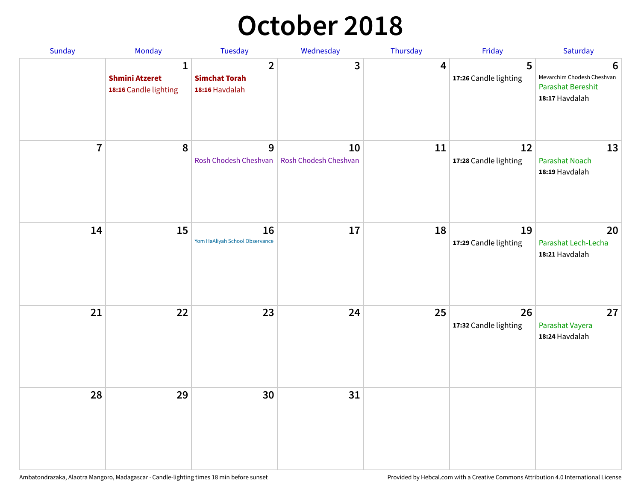# **October 2018**

| Sunday         | Monday                                                         | Tuesday                                                  | Wednesday                   | Thursday | Friday                      | Saturday                                                                      |
|----------------|----------------------------------------------------------------|----------------------------------------------------------|-----------------------------|----------|-----------------------------|-------------------------------------------------------------------------------|
|                | $\mathbf{1}$<br><b>Shmini Atzeret</b><br>18:16 Candle lighting | $\overline{2}$<br><b>Simchat Torah</b><br>18:16 Havdalah | 3                           | 4        | 5<br>17:26 Candle lighting  | 6<br>Mevarchim Chodesh Cheshvan<br><b>Parashat Bereshit</b><br>18:17 Havdalah |
| $\overline{7}$ | 8                                                              | 9<br>Rosh Chodesh Cheshvan                               | 10<br>Rosh Chodesh Cheshvan | 11       | 12<br>17:28 Candle lighting | 13<br><b>Parashat Noach</b><br>18:19 Havdalah                                 |
| 14             | 15                                                             | 16<br>Yom HaAliyah School Observance                     | 17                          | 18       | 19<br>17:29 Candle lighting | 20<br>Parashat Lech-Lecha<br>18:21 Havdalah                                   |
| 21             | 22                                                             | 23                                                       | 24                          | 25       | 26<br>17:32 Candle lighting | 27<br>Parashat Vayera<br>18:24 Havdalah                                       |
| 28             | 29                                                             | 30                                                       | 31                          |          |                             |                                                                               |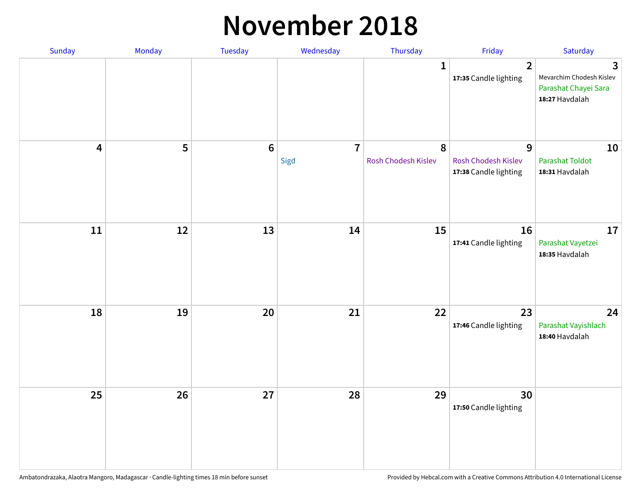#### **November 2018**

| Sunday                  | Monday | Tuesday | Wednesday              | Thursday                 | Friday                                            | Saturday                                                                |
|-------------------------|--------|---------|------------------------|--------------------------|---------------------------------------------------|-------------------------------------------------------------------------|
|                         |        |         |                        | $\mathbf{1}$             | $\overline{2}$<br>17:35 Candle lighting           | 3<br>Mevarchim Chodesh Kislev<br>Parashat Chayei Sara<br>18:27 Havdalah |
| $\overline{\mathbf{4}}$ | 5      | $6\,$   | $\overline{7}$<br>Sigd | 8<br>Rosh Chodesh Kislev | 9<br>Rosh Chodesh Kislev<br>17:38 Candle lighting | 10<br><b>Parashat Toldot</b><br>18:31 Havdalah                          |
| ${\bf 11}$              | 12     | 13      | 14                     | 15                       | 16<br>17:41 Candle lighting                       | 17<br>Parashat Vayetzei<br>18:35 Havdalah                               |
| 18                      | 19     | 20      | 21                     | 22                       | 23<br>17:46 Candle lighting                       | 24<br>Parashat Vayishlach<br>18:40 Havdalah                             |
| 25                      | 26     | 27      | 28                     | 29                       | 30<br>17:50 Candle lighting                       |                                                                         |